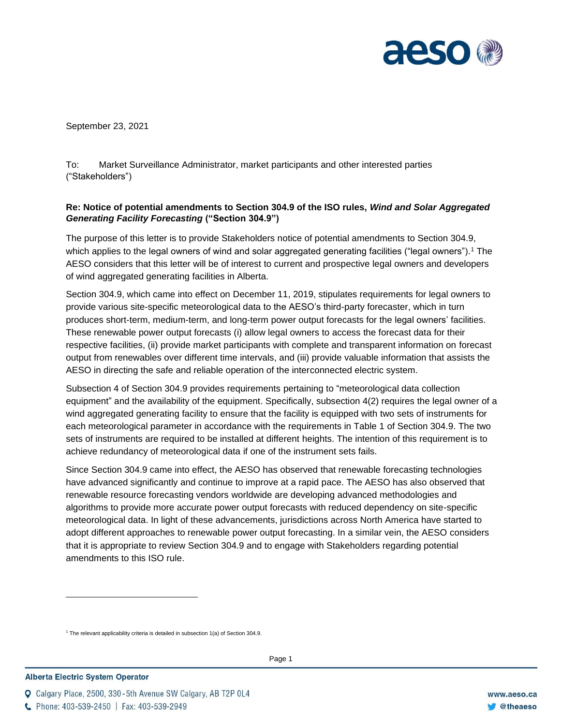

September 23, 2021

To: Market Surveillance Administrator, market participants and other interested parties ("Stakeholders")

## **Re: Notice of potential amendments to Section 304.9 of the ISO rules,** *Wind and Solar Aggregated Generating Facility Forecasting* **("Section 304.9")**

The purpose of this letter is to provide Stakeholders notice of potential amendments to Section 304.9, which applies to the legal owners of wind and solar aggregated generating facilities ("legal owners").<sup>1</sup> The AESO considers that this letter will be of interest to current and prospective legal owners and developers of wind aggregated generating facilities in Alberta.

Section 304.9, which came into effect on December 11, 2019, stipulates requirements for legal owners to provide various site-specific meteorological data to the AESO's third-party forecaster, which in turn produces short-term, medium-term, and long-term power output forecasts for the legal owners' facilities. These renewable power output forecasts (i) allow legal owners to access the forecast data for their respective facilities, (ii) provide market participants with complete and transparent information on forecast output from renewables over different time intervals, and (iii) provide valuable information that assists the AESO in directing the safe and reliable operation of the interconnected electric system.

Subsection 4 of Section 304.9 provides requirements pertaining to "meteorological data collection equipment" and the availability of the equipment. Specifically, subsection 4(2) requires the legal owner of a wind aggregated generating facility to ensure that the facility is equipped with two sets of instruments for each meteorological parameter in accordance with the requirements in Table 1 of Section 304.9. The two sets of instruments are required to be installed at different heights. The intention of this requirement is to achieve redundancy of meteorological data if one of the instrument sets fails.

Since Section 304.9 came into effect, the AESO has observed that renewable forecasting technologies have advanced significantly and continue to improve at a rapid pace. The AESO has also observed that renewable resource forecasting vendors worldwide are developing advanced methodologies and algorithms to provide more accurate power output forecasts with reduced dependency on site-specific meteorological data. In light of these advancements, jurisdictions across North America have started to adopt different approaches to renewable power output forecasting. In a similar vein, the AESO considers that it is appropriate to review Section 304.9 and to engage with Stakeholders regarding potential amendments to this ISO rule.

 $1$  The relevant applicability criteria is detailed in subsection  $1(a)$  of Section 304.9.